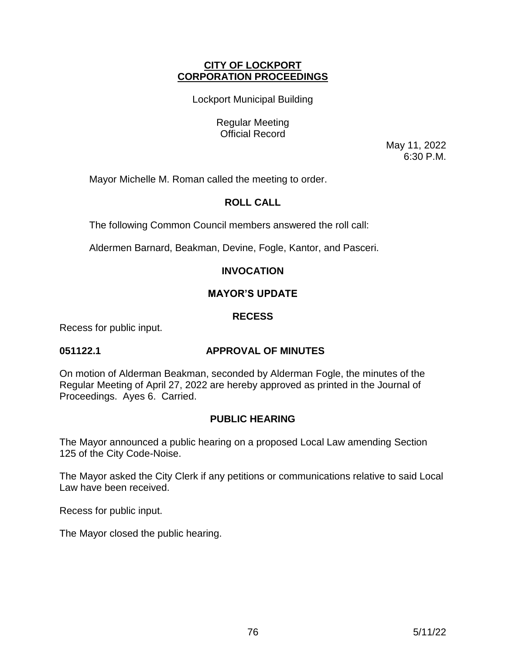## **CITY OF LOCKPORT CORPORATION PROCEEDINGS**

Lockport Municipal Building

Regular Meeting Official Record

> May 11, 2022 6:30 P.M.

Mayor Michelle M. Roman called the meeting to order.

# **ROLL CALL**

The following Common Council members answered the roll call:

Aldermen Barnard, Beakman, Devine, Fogle, Kantor, and Pasceri.

# **INVOCATION**

# **MAYOR'S UPDATE**

## **RECESS**

Recess for public input.

## **051122.1 APPROVAL OF MINUTES**

On motion of Alderman Beakman, seconded by Alderman Fogle, the minutes of the Regular Meeting of April 27, 2022 are hereby approved as printed in the Journal of Proceedings. Ayes 6. Carried.

# **PUBLIC HEARING**

The Mayor announced a public hearing on a proposed Local Law amending Section 125 of the City Code-Noise.

The Mayor asked the City Clerk if any petitions or communications relative to said Local Law have been received.

Recess for public input.

The Mayor closed the public hearing.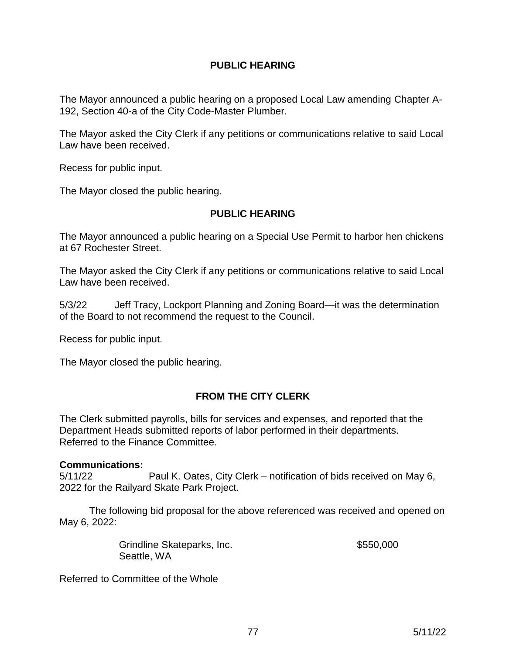# **PUBLIC HEARING**

The Mayor announced a public hearing on a proposed Local Law amending Chapter A-192, Section 40-a of the City Code-Master Plumber.

The Mayor asked the City Clerk if any petitions or communications relative to said Local Law have been received.

Recess for public input.

The Mayor closed the public hearing.

## **PUBLIC HEARING**

The Mayor announced a public hearing on a Special Use Permit to harbor hen chickens at 67 Rochester Street.

The Mayor asked the City Clerk if any petitions or communications relative to said Local Law have been received.

5/3/22 Jeff Tracy, Lockport Planning and Zoning Board—it was the determination of the Board to not recommend the request to the Council.

Recess for public input.

The Mayor closed the public hearing.

# **FROM THE CITY CLERK**

The Clerk submitted payrolls, bills for services and expenses, and reported that the Department Heads submitted reports of labor performed in their departments. Referred to the Finance Committee.

## **Communications:**

5/11/22 Paul K. Oates, City Clerk – notification of bids received on May 6, 2022 for the Railyard Skate Park Project.

The following bid proposal for the above referenced was received and opened on May 6, 2022:

| Grindline Skateparks, Inc. | \$550,000 |
|----------------------------|-----------|
| Seattle, WA                |           |

Referred to Committee of the Whole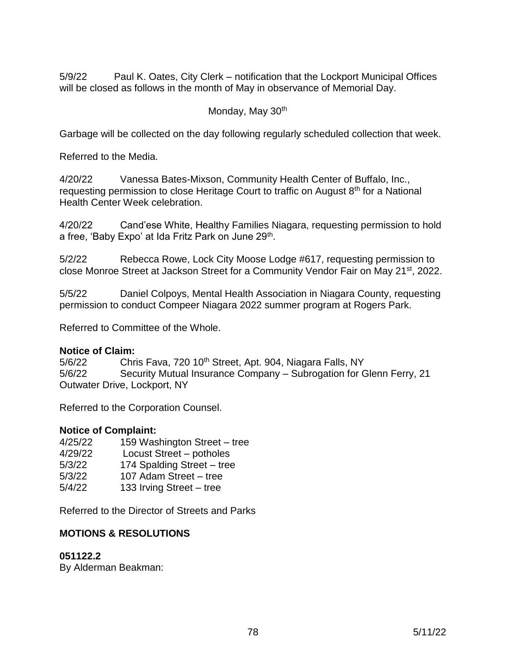5/9/22 Paul K. Oates, City Clerk – notification that the Lockport Municipal Offices will be closed as follows in the month of May in observance of Memorial Day.

## Monday, May 30<sup>th</sup>

Garbage will be collected on the day following regularly scheduled collection that week.

Referred to the Media.

4/20/22 Vanessa Bates-Mixson, Community Health Center of Buffalo, Inc., requesting permission to close Heritage Court to traffic on August  $8<sup>th</sup>$  for a National Health Center Week celebration.

4/20/22 Cand'ese White, Healthy Families Niagara, requesting permission to hold a free, 'Baby Expo' at Ida Fritz Park on June 29<sup>th</sup>.

5/2/22 Rebecca Rowe, Lock City Moose Lodge #617, requesting permission to close Monroe Street at Jackson Street for a Community Vendor Fair on May 21st, 2022.

5/5/22 Daniel Colpoys, Mental Health Association in Niagara County, requesting permission to conduct Compeer Niagara 2022 summer program at Rogers Park.

Referred to Committee of the Whole.

## **Notice of Claim:**

5/6/22 Chris Fava, 720 10<sup>th</sup> Street, Apt. 904, Niagara Falls, NY 5/6/22 Security Mutual Insurance Company – Subrogation for Glenn Ferry, 21 Outwater Drive, Lockport, NY

Referred to the Corporation Counsel.

# **Notice of Complaint:**

| 4/25/22 | 159 Washington Street - tree |
|---------|------------------------------|
| 4/29/22 | Locust Street – potholes     |
| 5/3/22  | 174 Spalding Street - tree   |
| 5/3/22  | 107 Adam Street - tree       |
| 5/4/22  | 133 Irving Street - tree     |

Referred to the Director of Streets and Parks

# **MOTIONS & RESOLUTIONS**

## **051122.2**

By Alderman Beakman: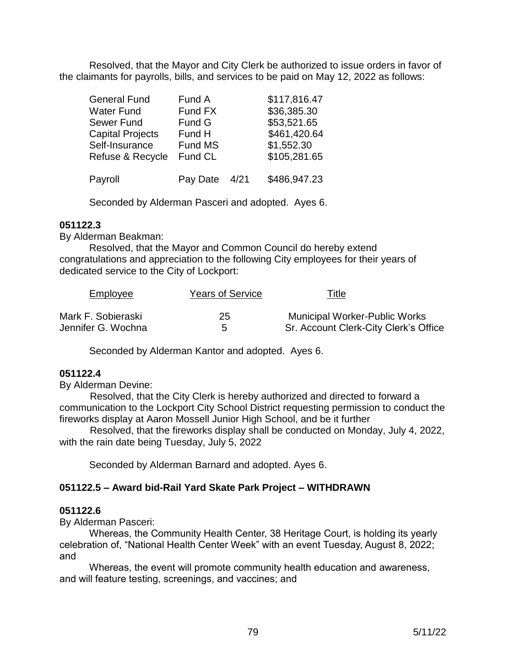Resolved, that the Mayor and City Clerk be authorized to issue orders in favor of the claimants for payrolls, bills, and services to be paid on May 12, 2022 as follows:

| <b>General Fund</b>     | Fund A   |      | \$117,816.47 |
|-------------------------|----------|------|--------------|
| Water Fund              | Fund FX  |      | \$36,385.30  |
| Sewer Fund              | Fund G   |      | \$53,521.65  |
| <b>Capital Projects</b> | Fund H   |      | \$461,420.64 |
| Self-Insurance          | Fund MS  |      | \$1,552.30   |
| Refuse & Recycle        | Fund CL  |      | \$105,281.65 |
| Payroll                 | Pay Date | 4/21 | \$486,947.23 |

Seconded by Alderman Pasceri and adopted. Ayes 6.

#### **051122.3**

By Alderman Beakman:

Resolved, that the Mayor and Common Council do hereby extend congratulations and appreciation to the following City employees for their years of dedicated service to the City of Lockport:

| Employee           | Years of Service | <u>Title</u>                          |
|--------------------|------------------|---------------------------------------|
| Mark F. Sobieraski | 25               | <b>Municipal Worker-Public Works</b>  |
| Jennifer G. Wochna | 5                | Sr. Account Clerk-City Clerk's Office |

Seconded by Alderman Kantor and adopted. Ayes 6.

## **051122.4**

By Alderman Devine:

 Resolved, that the City Clerk is hereby authorized and directed to forward a communication to the Lockport City School District requesting permission to conduct the fireworks display at Aaron Mossell Junior High School, and be it further

 Resolved, that the fireworks display shall be conducted on Monday, July 4, 2022, with the rain date being Tuesday, July 5, 2022

Seconded by Alderman Barnard and adopted. Ayes 6.

## **051122.5 – Award bid-Rail Yard Skate Park Project – WITHDRAWN**

#### **051122.6**

By Alderman Pasceri:

Whereas, the Community Health Center, 38 Heritage Court, is holding its yearly celebration of, "National Health Center Week" with an event Tuesday, August 8, 2022; and

Whereas, the event will promote community health education and awareness, and will feature testing, screenings, and vaccines; and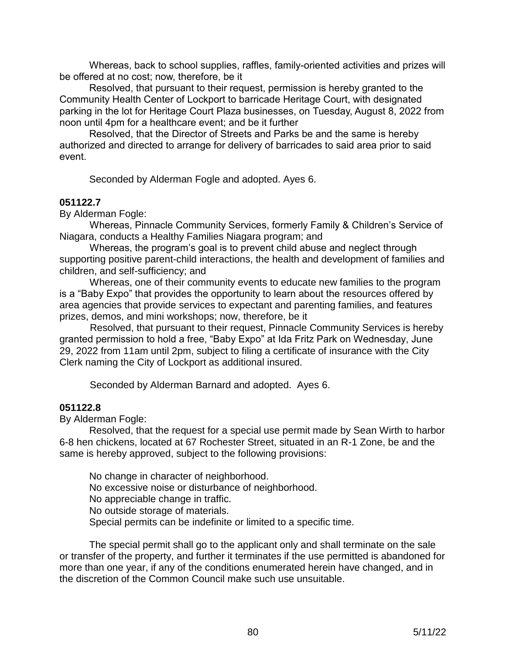Whereas, back to school supplies, raffles, family-oriented activities and prizes will be offered at no cost; now, therefore, be it

Resolved, that pursuant to their request, permission is hereby granted to the Community Health Center of Lockport to barricade Heritage Court, with designated parking in the lot for Heritage Court Plaza businesses, on Tuesday, August 8, 2022 from noon until 4pm for a healthcare event; and be it further

Resolved, that the Director of Streets and Parks be and the same is hereby authorized and directed to arrange for delivery of barricades to said area prior to said event.

Seconded by Alderman Fogle and adopted. Ayes 6.

#### **051122.7**

By Alderman Fogle:

 Whereas, Pinnacle Community Services, formerly Family & Children's Service of Niagara, conducts a Healthy Families Niagara program; and

 Whereas, the program's goal is to prevent child abuse and neglect through supporting positive parent-child interactions, the health and development of families and children, and self-sufficiency; and

 Whereas, one of their community events to educate new families to the program is a "Baby Expo" that provides the opportunity to learn about the resources offered by area agencies that provide services to expectant and parenting families, and features prizes, demos, and mini workshops; now, therefore, be it

 Resolved, that pursuant to their request, Pinnacle Community Services is hereby granted permission to hold a free, "Baby Expo" at Ida Fritz Park on Wednesday, June 29, 2022 from 11am until 2pm, subject to filing a certificate of insurance with the City Clerk naming the City of Lockport as additional insured.

Seconded by Alderman Barnard and adopted. Ayes 6.

## **051122.8**

By Alderman Fogle:

Resolved, that the request for a special use permit made by Sean Wirth to harbor 6-8 hen chickens, located at 67 Rochester Street, situated in an R-1 Zone, be and the same is hereby approved, subject to the following provisions:

No change in character of neighborhood. No excessive noise or disturbance of neighborhood. No appreciable change in traffic. No outside storage of materials. Special permits can be indefinite or limited to a specific time.

The special permit shall go to the applicant only and shall terminate on the sale or transfer of the property, and further it terminates if the use permitted is abandoned for more than one year, if any of the conditions enumerated herein have changed, and in the discretion of the Common Council make such use unsuitable.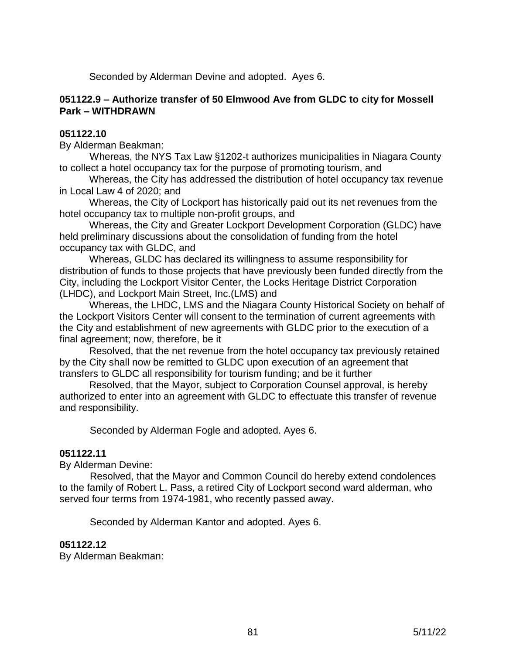Seconded by Alderman Devine and adopted. Ayes 6.

## **051122.9 – Authorize transfer of 50 Elmwood Ave from GLDC to city for Mossell Park – WITHDRAWN**

## **051122.10**

By Alderman Beakman:

 Whereas, the NYS Tax Law §1202-t authorizes municipalities in Niagara County to collect a hotel occupancy tax for the purpose of promoting tourism, and

Whereas, the City has addressed the distribution of hotel occupancy tax revenue in Local Law 4 of 2020; and

Whereas, the City of Lockport has historically paid out its net revenues from the hotel occupancy tax to multiple non-profit groups, and

Whereas, the City and Greater Lockport Development Corporation (GLDC) have held preliminary discussions about the consolidation of funding from the hotel occupancy tax with GLDC, and

Whereas, GLDC has declared its willingness to assume responsibility for distribution of funds to those projects that have previously been funded directly from the City, including the Lockport Visitor Center, the Locks Heritage District Corporation (LHDC), and Lockport Main Street, Inc.(LMS) and

Whereas, the LHDC, LMS and the Niagara County Historical Society on behalf of the Lockport Visitors Center will consent to the termination of current agreements with the City and establishment of new agreements with GLDC prior to the execution of a final agreement; now, therefore, be it

Resolved, that the net revenue from the hotel occupancy tax previously retained by the City shall now be remitted to GLDC upon execution of an agreement that transfers to GLDC all responsibility for tourism funding; and be it further

Resolved, that the Mayor, subject to Corporation Counsel approval, is hereby authorized to enter into an agreement with GLDC to effectuate this transfer of revenue and responsibility.

Seconded by Alderman Fogle and adopted. Ayes 6.

#### **051122.11**

By Alderman Devine:

 Resolved, that the Mayor and Common Council do hereby extend condolences to the family of Robert L. Pass, a retired City of Lockport second ward alderman, who served four terms from 1974-1981, who recently passed away.

Seconded by Alderman Kantor and adopted. Ayes 6.

#### **051122.12**

By Alderman Beakman: